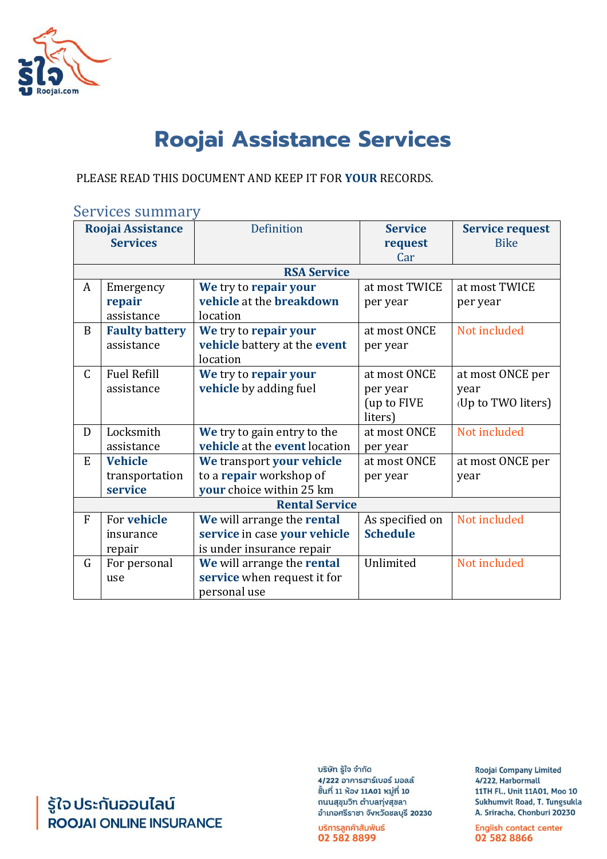

# **Roojai Assistance Services**

PLEASE READ THIS DOCUMENT AND KEEP IT FOR **YOUR** RECORDS.

### Services summary

| Roojai Assistance     |                       | Definition                    | <b>Service</b>  | <b>Service request</b> |
|-----------------------|-----------------------|-------------------------------|-----------------|------------------------|
| <b>Services</b>       |                       |                               | request         | <b>Bike</b>            |
|                       |                       |                               | Car             |                        |
| <b>RSA Service</b>    |                       |                               |                 |                        |
| A                     | Emergency             | We try to repair your         | at most TWICE   | at most TWICE          |
|                       | repair                | vehicle at the breakdown      | per year        | per year               |
|                       | assistance            | location                      |                 |                        |
| B                     | <b>Faulty battery</b> | We try to repair your         | at most ONCE    | Not included           |
|                       | assistance            | vehicle battery at the event  | per year        |                        |
|                       |                       | location                      |                 |                        |
| $\mathsf{C}$          | <b>Fuel Refill</b>    | We try to repair your         | at most ONCE    | at most ONCE per       |
|                       | assistance            | vehicle by adding fuel        | per year        | year                   |
|                       |                       |                               | (up to FIVE     | (Up to TWO liters)     |
|                       |                       |                               | liters)         |                        |
| D                     | Locksmith             | We try to gain entry to the   | at most ONCE    | Not included           |
|                       | assistance            | vehicle at the event location | per year        |                        |
| E                     | <b>Vehicle</b>        | We transport your vehicle     | at most ONCE    | at most ONCE per       |
|                       | transportation        | to a repair workshop of       | per year        | year                   |
|                       | service               | your choice within 25 km      |                 |                        |
| <b>Rental Service</b> |                       |                               |                 |                        |
| $\mathbf{F}$          | For vehicle           | We will arrange the rental    | As specified on | Not included           |
|                       | insurance             | service in case your vehicle  | <b>Schedule</b> |                        |
|                       | repair                | is under insurance repair     |                 |                        |
| G                     | For personal          | We will arrange the rental    | Unlimited       | Not included           |
|                       | use                   | service when request it for   |                 |                        |
|                       |                       | personal use                  |                 |                        |

รู้ใจ ประกันออนไลน์<br>**ROOJAI** ONLINE INSURANCE

บริษัท รู้ใจ จำกัด 4/222 อาคารฮาร์เบอร์ มอลล์ ชิ้นที่ 11 ห้อง 11A01 หมู่ที่ 10 ถนนสุขุมวิท ตำบลทุ่งสุขลา อำเภอศรีราชา จังหวัดชลบุรี 20230

บริการลูกค้าสัมพันธ์ 02 582 8899

**Roojai Company Limited** 4/222, Harbormall 11TH Fl., Unit 11A01, Moo 10 Sukhumvit Road, T. Tungsukla A. Sriracha, Chonburi 20230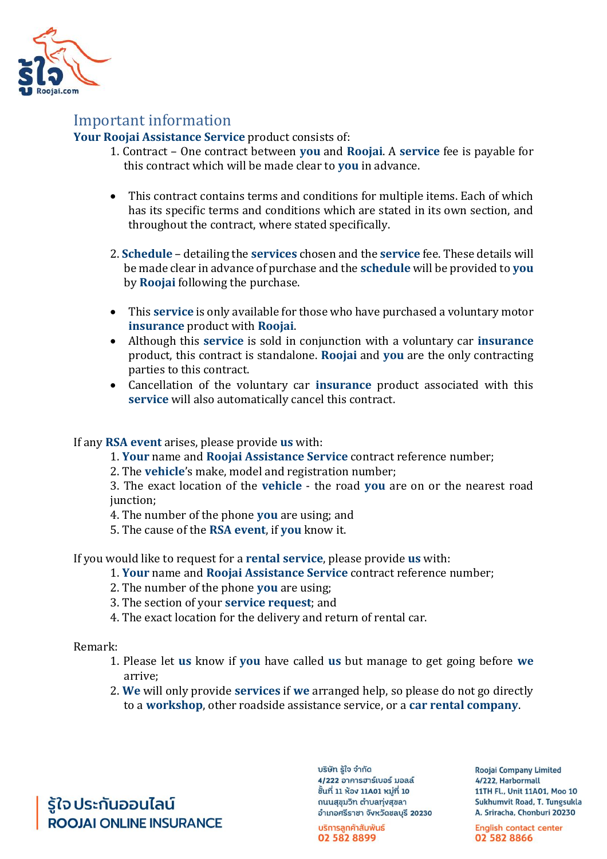

### Important information

**Your Roojai Assistance Service** product consists of:

- 1. Contract One contract between **you** and **Roojai**. A **service** fee is payable for this contract which will be made clear to **you** in advance.
- This contract contains terms and conditions for multiple items. Each of which has its specific terms and conditions which are stated in its own section, and throughout the contract, where stated specifically.
- 2. **Schedule** detailing the **services** chosen and the **service** fee. These details will be made clear in advance of purchase and the **schedule** will be provided to **you** by **Roojai** following the purchase.
- This **service** is only available for those who have purchased a voluntary motor **insurance** product with **Roojai**.
- Although this **service** is sold in conjunction with a voluntary car **insurance** product, this contract is standalone. **Roojai** and **you** are the only contracting parties to this contract.
- Cancellation of the voluntary car **insurance** product associated with this **service** will also automatically cancel this contract.

#### If any **RSA event** arises, please provide **us** with:

1. **Your** name and **Roojai Assistance Service** contract reference number;

2. The **vehicle**'s make, model and registration number;

3. The exact location of the **vehicle** - the road **you** are on or the nearest road junction:

4. The number of the phone **you** are using; and

5. The cause of the **RSA event**, if **you** know it.

If you would like to request for a **rental service**, please provide **us** with:

- 1. **Your** name and **Roojai Assistance Service** contract reference number;
- 2. The number of the phone **you** are using;
- 3. The section of your **service request**; and
- 4. The exact location for the delivery and return of rental car.

Remark:

- 1. Please let **us** know if **you** have called **us** but manage to get going before **we**  arrive;
- 2. **We** will only provide **services** if **we** arranged help, so please do not go directly to a **workshop**, other roadside assistance service, or a **car rental company**.

รู้ใจประกันออนไลน์ **ROOJAI ONLINE INSURANCE**  บริษัท รู้ใจ จำกัด 4/222 อาคารฮาร์เบอร์ มอลล์ ชิ้นที่ 11 ห้อง 11A01 หมู่ที่ 10 ถนนสุขุมวิท ตำบลทุ่งสุขลา อำเภอศรีราชา จังหวัดชลบุรี 20230

บริการลูกค้าสัมพันธ์ 02 582 8899

**Roojai Company Limited** 4/222. Harbormall 11TH Fl., Unit 11A01, Moo 10 Sukhumvit Road, T. Tungsukla A. Sriracha, Chonburi 20230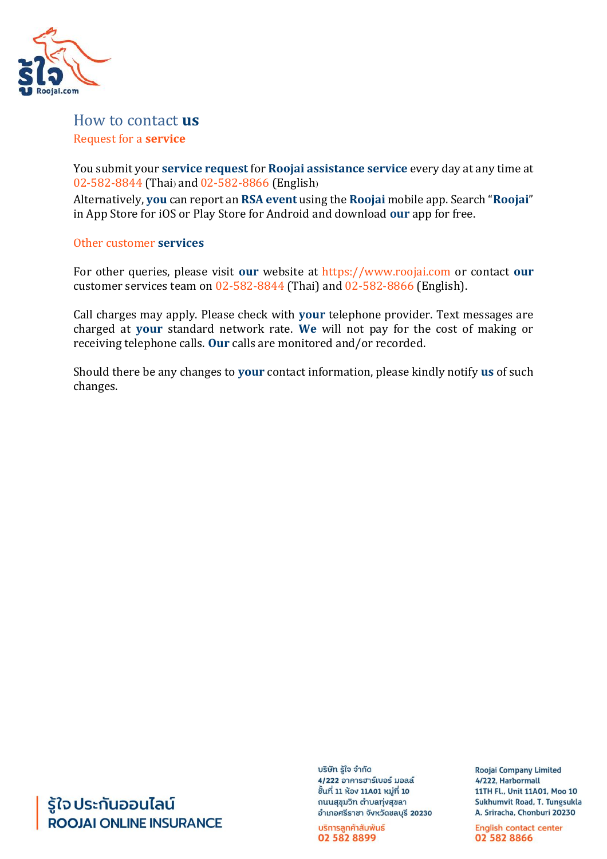

### How to contact **us**  Request for a **service**

You submit your **service request** for **Roojai assistance service** every day at any time at 02-582-8844 (Thai) and 02-582-8866 (English)

Alternatively, **you** can report an **RSA event** using the **Roojai** mobile app. Search "**Roojai**" in App Store for iOS or Play Store for Android and download **our** app for free.

#### Other customer **services**

For other queries, please visit **our** website at https://www.roojai.com or contact **our**  customer services team on 02-582-8844 (Thai) and 02-582-8866 (English).

Call charges may apply. Please check with **your** telephone provider. Text messages are charged at **your** standard network rate. **We** will not pay for the cost of making or receiving telephone calls. **Our** calls are monitored and/or recorded.

Should there be any changes to **your** contact information, please kindly notify **us** of such changes.

# รู้ใจ ประกันออนไลน์ **ROOJAI ONLINE INSURANCE**

บริษัท รู้ใจ จำกัด 4/222 อาคารฮาร์เบอร์ มอลล์ ชิ้นที่ 11 ห้อง 11A01 หมู่ที่ 10 ถนนสุขุมวิท ตำบลทุ่งสุขลา อำเภอศรีราชา จังหวัดชลบุรี 20230

บริการลูกค้าสัมพันธ์ 02 582 8899

**Roojai Company Limited** 4/222, Harbormall 11TH Fl., Unit 11A01, Moo 10 Sukhumvit Road, T. Tungsukla A. Sriracha, Chonburi 20230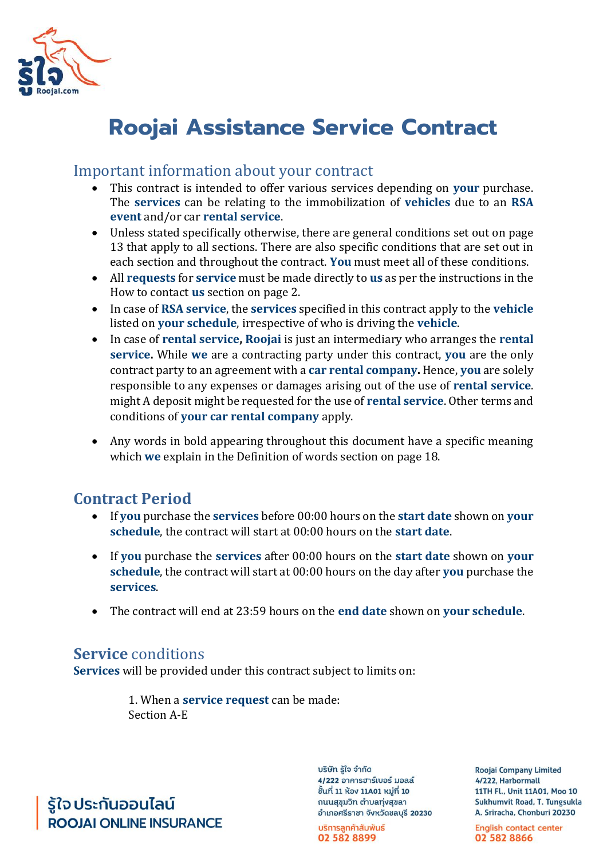

# **Roojai Assistance Service Contract**

### Important information about your contract

- This contract is intended to offer various services depending on **your** purchase. The **services** can be relating to the immobilization of **vehicles** due to an **RSA event** and/or car **rental service**.
- Unless stated specifically otherwise, there are general conditions set out on page 13 that apply to all sections. There are also specific conditions that are set out in each section and throughout the contract. **You** must meet all of these conditions.
- All **requests** for **service** must be made directly to **us** as per the instructions in the How to contact **us** section on page 2.
- In case of **RSA service**, the **services** specified in this contract apply to the **vehicle**  listed on **your schedule**, irrespective of who is driving the **vehicle**.
- In case of **rental service, Roojai** is just an intermediary who arranges the **rental service.** While **we** are a contracting party under this contract, **you** are the only contract party to an agreement with a **car rental company.** Hence, **you** are solely responsible to any expenses or damages arising out of the use of **rental service**. might A deposit might be requested for the use of **rental service**. Other terms and conditions of **your car rental company** apply.
- Any words in bold appearing throughout this document have a specific meaning which **we** explain in the Definition of words section on page 18.

# **Contract Period**

- If **you** purchase the **services** before 00:00 hours on the **start date** shown on **your schedule**, the contract will start at 00:00 hours on the **start date**.
- If **you** purchase the **services** after 00:00 hours on the **start date** shown on **your schedule**, the contract will start at 00:00 hours on the day after **you** purchase the **services**.
- The contract will end at 23:59 hours on the **end date** shown on **your schedule**.

# **Service** conditions

**Services** will be provided under this contract subject to limits on:

1. When a **service request** can be made: Section A-E

รู้ใจ ประกันออนไลน์ **ROOJAI ONLINE INSURANCE**  บริษัท รู้ใจ จำกัด 4/222 อาคารฮาร์เบอร์ มอลล์ ชิ้นที่ 11 ห้อง 11A01 หมู่ที่ 10 ถนนสุขุมวิท ตำบลทุ่งสุขลา อำเภอศรีราชา จังหวัดชลบุรี 20230

บริการลูกค้าสัมพันธ์ 02 582 8899

**Roojai Company Limited** 4/222. Harbormall 11TH Fl., Unit 11A01, Moo 10 Sukhumvit Road, T. Tungsukla A. Sriracha, Chonburi 20230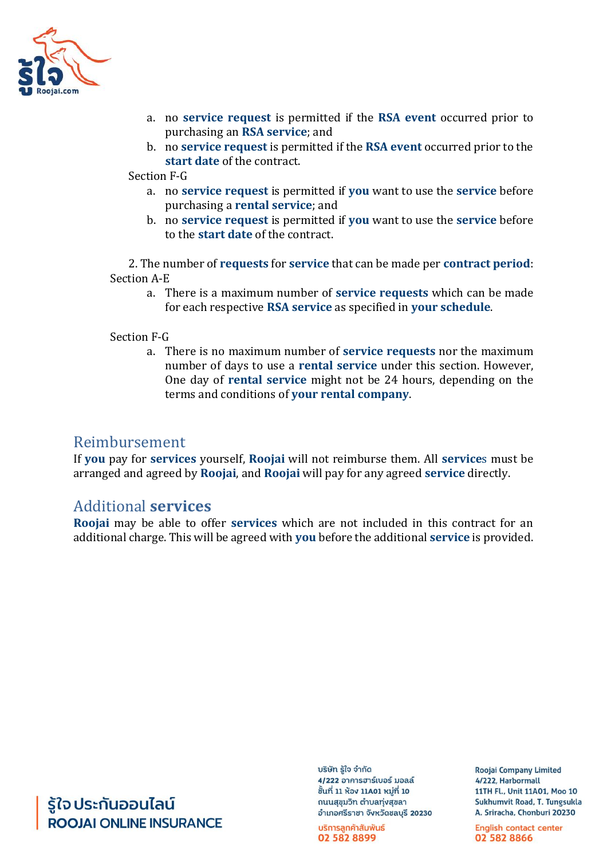

- a. no **service request** is permitted if the **RSA event** occurred prior to purchasing an **RSA service**; and
- b. no **service request** is permitted if the **RSA event** occurred prior to the **start date** of the contract.

Section F-G

- a. no **service request** is permitted if **you** want to use the **service** before purchasing a **rental service**; and
- b. no **service request** is permitted if **you** want to use the **service** before to the **start date** of the contract.

2. The number of **requests** for **service** that can be made per **contract period**: Section A-E

a. There is a maximum number of **service requests** which can be made for each respective **RSA service** as specified in **your schedule**.

#### Section F-G

a. There is no maximum number of **service requests** nor the maximum number of days to use a **rental service** under this section. However, One day of **rental service** might not be 24 hours, depending on the terms and conditions of **your rental company**.

### Reimbursement

If **you** pay for **services** yourself, **Roojai** will not reimburse them. All **service**s must be arranged and agreed by **Roojai**, and **Roojai** will pay for any agreed **service** directly.

### Additional **services**

**Roojai** may be able to offer **services** which are not included in this contract for an additional charge. This will be agreed with **you** before the additional **service** is provided.

รู้ใจ ประกันออนไลน์ **ROOJAI ONLINE INSURANCE**  บริษัท รู้ใจ จำกัด 4/222 อาคารฮาร์เบอร์ มอลล์ ชั้นที่ 11 ห้อง 11A01 หมู่ที่ 10 ถนนสุขุมวิท ตำบลทุ่งสุขลา อำเภอศรีราชา จังหวัดชลบุรี 20230

บริการลูกค้าสัมพันธ์ 02 582 8899

**Roojai Company Limited** 4/222. Harbormall 11TH Fl., Unit 11A01, Moo 10 Sukhumvit Road, T. Tungsukla A. Sriracha, Chonburi 20230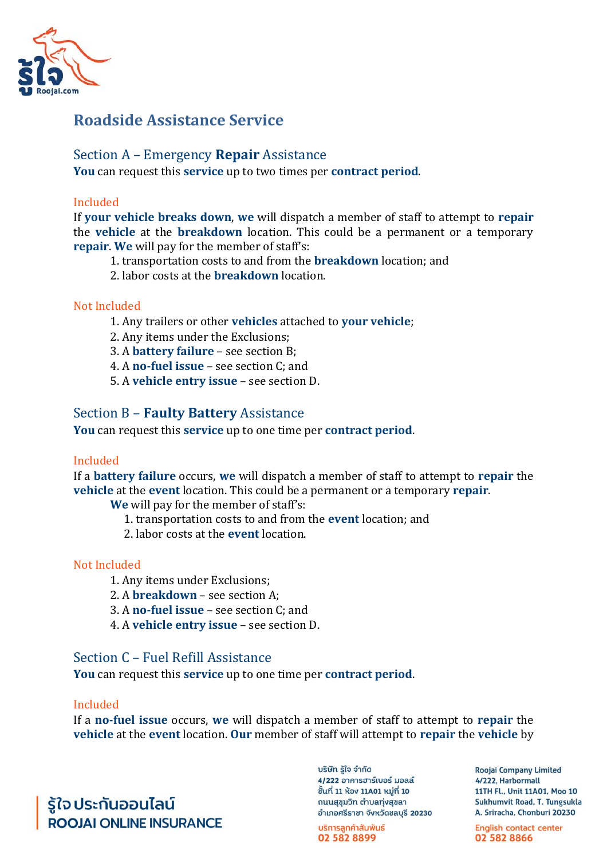

# **Roadside Assistance Service**

### Section A – Emergency **Repair** Assistance

**You** can request this **service** up to two times per **contract period**.

#### Included

If **your vehicle breaks down**, **we** will dispatch a member of staff to attempt to **repair**  the **vehicle** at the **breakdown** location. This could be a permanent or a temporary **repair**. **We** will pay for the member of staff's:

- 1. transportation costs to and from the **breakdown** location; and
- 2. labor costs at the **breakdown** location.

### Not Included

- 1. Any trailers or other **vehicles** attached to **your vehicle**;
- 2. Any items under the Exclusions;
- 3. A **battery failure**  see section B;
- 4. A **no-fuel issue**  see section C; and
- 5. A **vehicle entry issue**  see section D.

### Section B – **Faulty Battery** Assistance

**You** can request this **service** up to one time per **contract period**.

#### Included

If a **battery failure** occurs, **we** will dispatch a member of staff to attempt to **repair** the **vehicle** at the **event** location. This could be a permanent or a temporary **repair**.

**We** will pay for the member of staff's:

- 1. transportation costs to and from the **event** location; and
- 2. labor costs at the **event** location.

#### Not Included

- 1. Any items under Exclusions;
- 2. A **breakdown**  see section A;
- 3. A **no-fuel issue**  see section C; and
- 4. A **vehicle entry issue**  see section D.

#### Section C – Fuel Refill Assistance

**You** can request this **service** up to one time per **contract period**.

#### Included

If a **no-fuel issue** occurs, **we** will dispatch a member of staff to attempt to **repair** the **vehicle** at the **event** location. **Our** member of staff will attempt to **repair** the **vehicle** by

รู้ใจ ประกันออนไลน์ **ROOJALONLINE INSURANCE**  บริษัท รู้ใจ จำกัด 4/222 อาคารฮาร์เบอร์ มอลล์ ชิ้นที่ 11 ห้อง 11A01 หมู่ที่ 10 ถนนสุขุมวิท ตำบลทุ่งสุขลา อำเภอศรีราชา จังหวัดชลบุรี 20230

บริการลูกค้าสัมพันธ์ 02 582 8899

**Roojai Company Limited** 4/222. Harbormall 11TH Fl., Unit 11A01, Moo 10 Sukhumvit Road, T. Tungsukla A. Sriracha, Chonburi 20230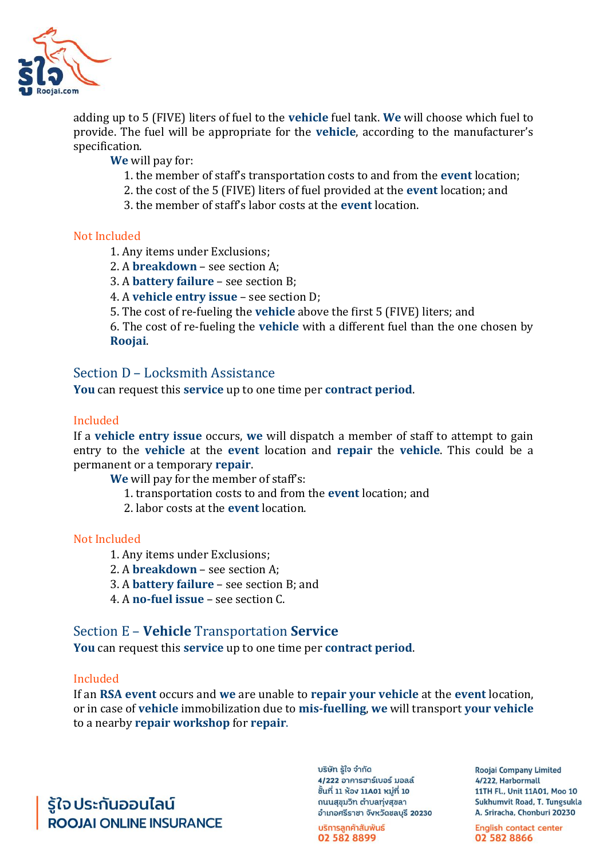

adding up to 5 (FIVE) liters of fuel to the **vehicle** fuel tank. **We** will choose which fuel to provide. The fuel will be appropriate for the **vehicle**, according to the manufacturer's specification.

**We** will pay for:

- 1. the member of staff's transportation costs to and from the **event** location;
- 2. the cost of the 5 (FIVE) liters of fuel provided at the **event** location; and
- 3. the member of staff's labor costs at the **event** location.

#### Not Included

- 1. Any items under Exclusions;
- 2. A **breakdown**  see section A;
- 3. A **battery failure**  see section B;
- 4. A **vehicle entry issue**  see section D;
- 5. The cost of re-fueling the **vehicle** above the first 5 (FIVE) liters; and

6. The cost of re-fueling the **vehicle** with a different fuel than the one chosen by **Roojai**.

#### Section D – Locksmith Assistance

**You** can request this **service** up to one time per **contract period**.

#### Included

If a **vehicle entry issue** occurs, **we** will dispatch a member of staff to attempt to gain entry to the **vehicle** at the **event** location and **repair** the **vehicle**. This could be a permanent or a temporary **repair**.

**We** will pay for the member of staff's:

- 1. transportation costs to and from the **event** location; and
- 2. labor costs at the **event** location.

#### Not Included

- 1. Any items under Exclusions;
- 2. A **breakdown**  see section A;
- 3. A **battery failure**  see section B; and
- 4. A **no-fuel issue**  see section C.

#### Section E – **Vehicle** Transportation **Service**

**You** can request this **service** up to one time per **contract period**.

#### Included

If an **RSA event** occurs and **we** are unable to **repair your vehicle** at the **event** location, or in case of **vehicle** immobilization due to **mis-fuelling**, **we** will transport **your vehicle**  to a nearby **repair workshop** for **repair**.

รู้ใจ ประกันออนไลน์ **ROOJAI ONLINE INSURANCE**  บริษัท รู้ใจ จำกัด 4/222 อาคารฮาร์เบอร์ มอลล์ ชิ้นที่ 11 ห้อง 11A01 หมู่ที่ 10 ถนนสุขุมวิท ตำบลทุ่งสุขลา อำเภอศรีราชา จังหวัดชลบุรี 20230

บริการลูกค้าสัมพันธ์ 02 582 8899

**Roojai Company Limited** 4/222. Harbormall 11TH Fl., Unit 11A01, Moo 10 Sukhumvit Road, T. Tungsukla A. Sriracha, Chonburi 20230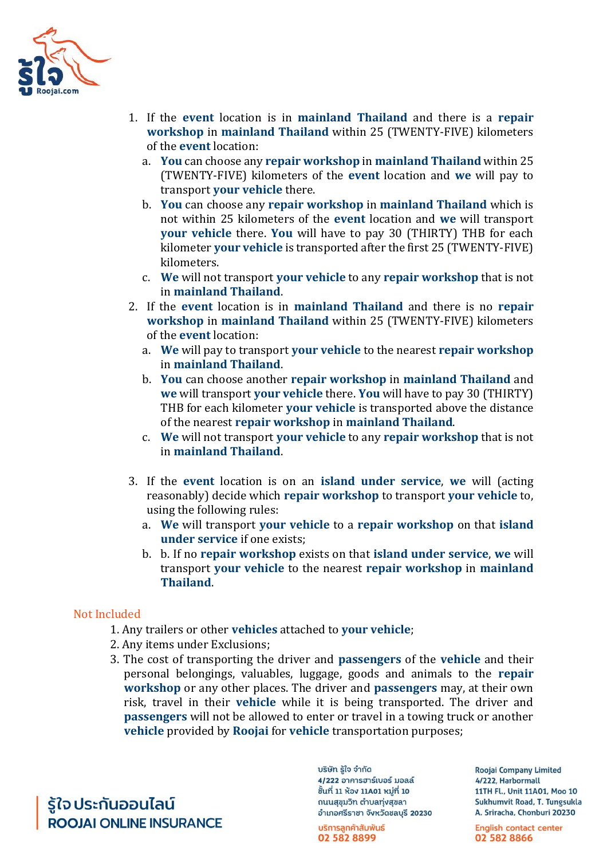

- 1. If the **event** location is in **mainland Thailand** and there is a **repair workshop** in **mainland Thailand** within 25 (TWENTY-FIVE) kilometers of the **event** location:
	- a. **You** can choose any **repair workshop** in **mainland Thailand** within 25 (TWENTY-FIVE) kilometers of the **event** location and **we** will pay to transport **your vehicle** there.
	- b. **You** can choose any **repair workshop** in **mainland Thailand** which is not within 25 kilometers of the **event** location and **we** will transport **your vehicle** there. **You** will have to pay 30 (THIRTY) THB for each kilometer **your vehicle** is transported after the first 25 (TWENTY-FIVE) kilometers.
	- c. **We** will not transport **your vehicle** to any **repair workshop** that is not in **mainland Thailand**.
- 2. If the **event** location is in **mainland Thailand** and there is no **repair workshop** in **mainland Thailand** within 25 (TWENTY-FIVE) kilometers of the **event** location:
	- a. **We** will pay to transport **your vehicle** to the nearest **repair workshop** in **mainland Thailand**.
	- b. **You** can choose another **repair workshop** in **mainland Thailand** and **we** will transport **your vehicle** there. **You** will have to pay 30 (THIRTY) THB for each kilometer **your vehicle** is transported above the distance of the nearest **repair workshop** in **mainland Thailand**.
	- c. **We** will not transport **your vehicle** to any **repair workshop** that is not in **mainland Thailand**.
- 3. If the **event** location is on an **island under service**, **we** will (acting reasonably) decide which **repair workshop** to transport **your vehicle** to, using the following rules:
	- a. **We** will transport **your vehicle** to a **repair workshop** on that **island under service** if one exists;
	- b. b. If no **repair workshop** exists on that **island under service**, **we** will transport **your vehicle** to the nearest **repair workshop** in **mainland Thailand**.

#### Not Included

- 1. Any trailers or other **vehicles** attached to **your vehicle**;
- 2. Any items under Exclusions;
- 3. The cost of transporting the driver and **passengers** of the **vehicle** and their personal belongings, valuables, luggage, goods and animals to the **repair workshop** or any other places. The driver and **passengers** may, at their own risk, travel in their **vehicle** while it is being transported. The driver and **passengers** will not be allowed to enter or travel in a towing truck or another **vehicle** provided by **Roojai** for **vehicle** transportation purposes;

รู้ใจ ประกันออนไลน์ **ROOJAI ONLINE INSURANCE**  บริษัท รู้ใจ จำกัด 4/222 อาคารฮาร์เบอร์ มอลล์ ชั้นที่ 11 ห้อง 11A01 หมู่ที่ 10 ถนนสุขุมวิท ตำบลทุ่งสุขลา อำเภอศรีราชา จังหวัดชลบุรี 20230

บริการลูกค้าสัมพันธ์ 02 582 8899

**Roojai Company Limited** 4/222, Harbormall 11TH Fl., Unit 11A01, Moo 10 Sukhumvit Road, T. Tungsukla A. Sriracha, Chonburi 20230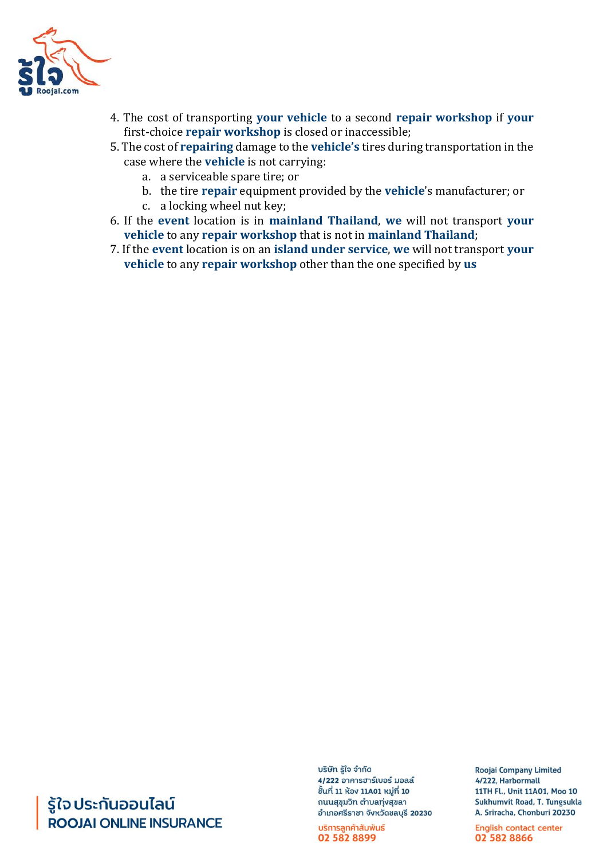

- 4. The cost of transporting **your vehicle** to a second **repair workshop** if **your**  first-choice **repair workshop** is closed or inaccessible;
- 5. The cost of **repairing** damage to the **vehicle's** tires during transportation in the case where the **vehicle** is not carrying:
	- a. a serviceable spare tire; or
	- b. the tire **repair** equipment provided by the **vehicle**'s manufacturer; or
	- c. a locking wheel nut key;
- 6. If the **event** location is in **mainland Thailand**, **we** will not transport **your vehicle** to any **repair workshop** that is not in **mainland Thailand**;
- 7. If the **event** location is on an **island under service**, **we** will not transport **your vehicle** to any **repair workshop** other than the one specified by **us**

# รู้ใจ ประกันออนไลน์ **ROOJAI ONLINE INSURANCE**

บริษัท รู้ใจ จำกัด 4/222 อาคารฮาร์เบอร์ มอลล์ ชั้นที่ 11 ห้อง 11A01 หมู่ที่ 10 ถนนสุขุมวิท ตำบลทุ่งสุขลา อำเภอศรีราชา จังหวัดชลบุรี 20230

บริการลูกค้าสัมพันธ์ 02 582 8899

**Roojai Company Limited** 4/222, Harbormall 11TH Fl., Unit 11A01, Moo 10 Sukhumvit Road, T. Tungsukla A. Sriracha, Chonburi 20230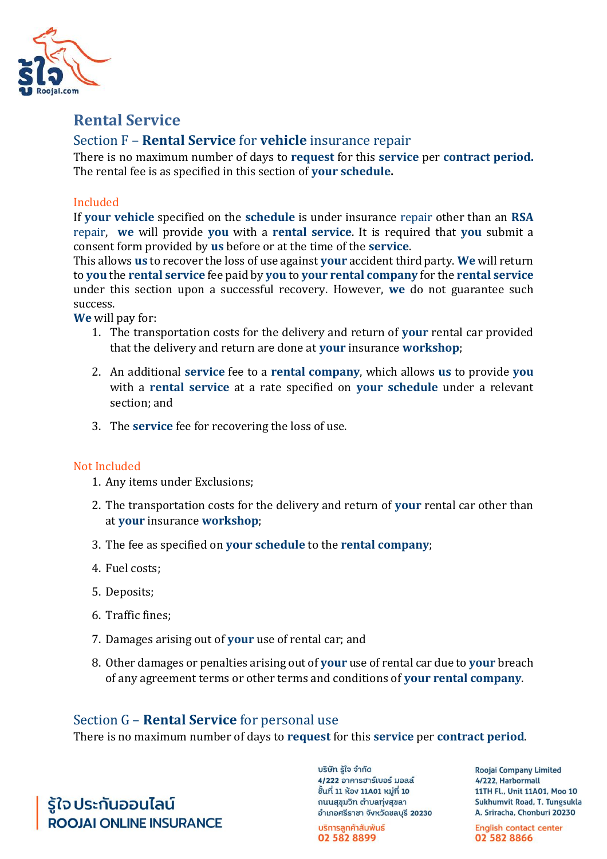

# **Rental Service**

### Section F – **Rental Service** for **vehicle** insurance repair

There is no maximum number of days to **request** for this **service** per **contract period.**  The rental fee is as specified in this section of **your schedule.**

#### Included

If **your vehicle** specified on the **schedule** is under insurance repair other than an **RSA**  repair, **we** will provide **you** with a **rental service**. It is required that **you** submit a consent form provided by **us** before or at the time of the **service**.

This allows **us** to recover the loss of use against **your** accident third party. **We** will return to **you** the **rental service** fee paid by **you** to **your rental company** for the **rental service**  under this section upon a successful recovery. However, **we** do not guarantee such success.

**We** will pay for:

- 1. The transportation costs for the delivery and return of **your** rental car provided that the delivery and return are done at **your** insurance **workshop**;
- 2. An additional **service** fee to a **rental company**, which allows **us** to provide **you** with a **rental service** at a rate specified on **your schedule** under a relevant section; and
- 3. The **service** fee for recovering the loss of use.

#### Not Included

- 1. Any items under Exclusions;
- 2. The transportation costs for the delivery and return of **your** rental car other than at **your** insurance **workshop**;
- 3. The fee as specified on **your schedule** to the **rental company**;
- 4. Fuel costs;
- 5. Deposits;
- 6. Traffic fines;
- 7. Damages arising out of **your** use of rental car; and
- 8. Other damages or penalties arising out of **your** use of rental car due to **your** breach of any agreement terms or other terms and conditions of **your rental company**.

### Section G – **Rental Service** for personal use

There is no maximum number of days to **request** for this **service** per **contract period**.

รู้ใจ ประกันออนไลน์ **ROOJALONLINE INSURANCE**  บริษัท รู้ใจ จำกัด 4/222 อาคารฮาร์เบอร์ มอลล์ ชิ้นที่ 11 ห้อง 11A01 หมู่ที่ 10 ถนนสุขุมวิท ตำบลทุ่งสุขลา อำเภอศรีราชา จังหวัดชลบุรี 20230

บริการลูกค้าสัมพันธ์ 02 582 8899

**Roojai Company Limited** 4/222. Harbormall 11TH Fl., Unit 11A01, Moo 10 Sukhumvit Road, T. Tungsukla A. Sriracha, Chonburi 20230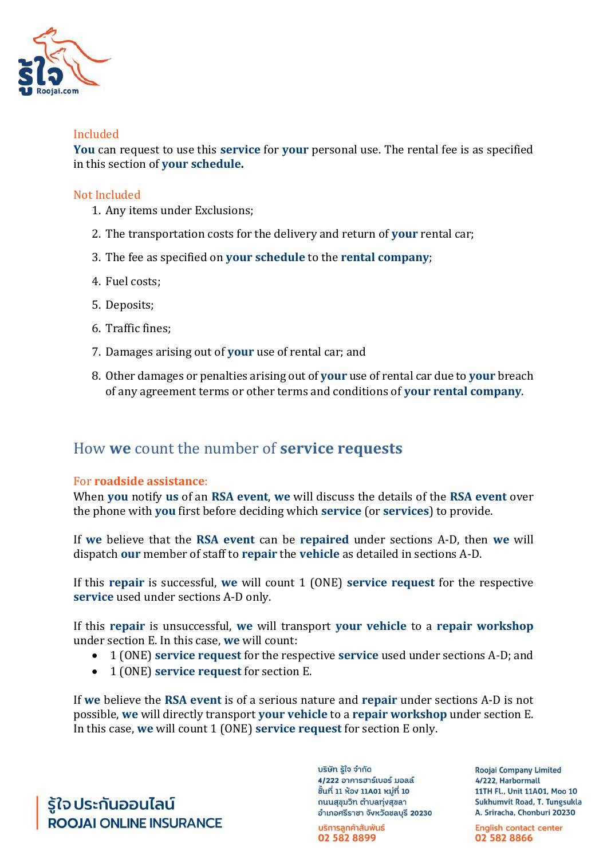

#### Included

**You** can request to use this **service** for **your** personal use. The rental fee is as specified in this section of **your schedule.**

#### Not Included

- 1. Any items under Exclusions;
- 2. The transportation costs for the delivery and return of **your** rental car;
- 3. The fee as specified on **your schedule** to the **rental company**;
- 4. Fuel costs;
- 5. Deposits;
- 6. Traffic fines;
- 7. Damages arising out of **your** use of rental car; and
- 8. Other damages or penalties arising out of **your** use of rental car due to **your** breach of any agreement terms or other terms and conditions of **your rental company**.

# How **we** count the number of **service requests**

#### For **roadside assistance**:

When **you** notify **us** of an **RSA event**, **we** will discuss the details of the **RSA event** over the phone with **you** first before deciding which **service** (or **services**) to provide.

If **we** believe that the **RSA event** can be **repaired** under sections A-D, then **we** will dispatch **our** member of staff to **repair** the **vehicle** as detailed in sections A-D.

If this **repair** is successful, **we** will count 1 (ONE) **service request** for the respective **service** used under sections A-D only.

If this **repair** is unsuccessful, **we** will transport **your vehicle** to a **repair workshop** under section E. In this case, **we** will count:

- 1 (ONE) **service request** for the respective **service** used under sections A-D; and
- 1 (ONE) **service request** for section E.

If **we** believe the **RSA event** is of a serious nature and **repair** under sections A-D is not possible, **we** will directly transport **your vehicle** to a **repair workshop** under section E. In this case, **we** will count 1 (ONE) **service request** for section E only.

รู้ใจ ประกันออนไลน์ **ROOJAI ONLINE INSURANCE**  บริษัท รู้ใจ จำกัด 4/222 อาคารฮาร์เบอร์ มอลล์ ชิ้นที่ 11 ห้อง 11A01 หมู่ที่ 10 ถนนสุขุมวิท ตำบลทุ่งสุขลา อำเภอศรีราชา จังหวัดชลบุรี 20230

บริการลูกค้าสัมพันธ์ 02 582 8899

**Roojai Company Limited** 4/222. Harbormall 11TH Fl., Unit 11A01, Moo 10 Sukhumvit Road, T. Tungsukla A. Sriracha, Chonburi 20230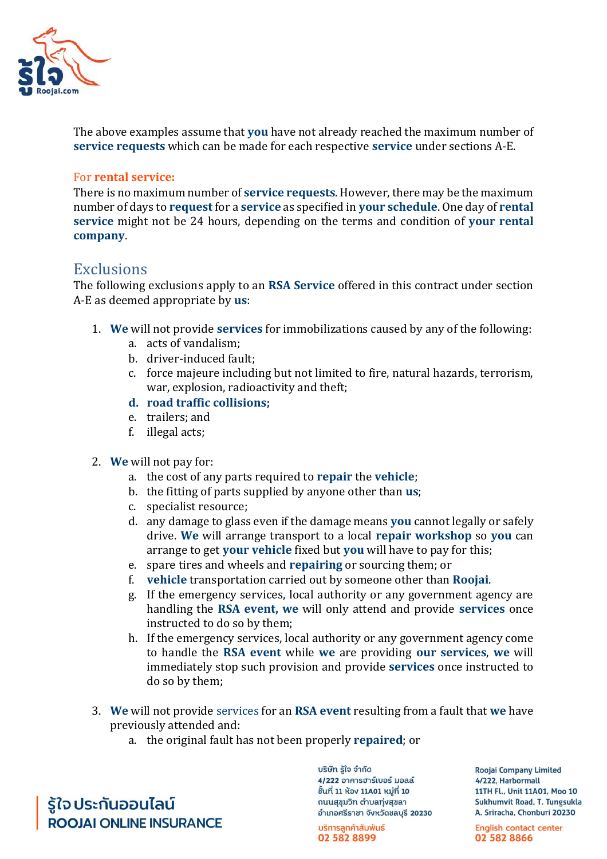

The above examples assume that **you** have not already reached the maximum number of **service requests** which can be made for each respective **service** under sections A-E.

#### For **rental service:**

There is no maximum number of **service requests**. However, there may be the maximum number of days to **request** for a **service** as specified in **your schedule**. One day of **rental service** might not be 24 hours, depending on the terms and condition of **your rental company**.

### **Exclusions**

The following exclusions apply to an **RSA Service** offered in this contract under section A-E as deemed appropriate by **us**:

- 1. **We** will not provide **services** for immobilizations caused by any of the following:
	- a. acts of vandalism;
	- b. driver-induced fault;
	- c. force majeure including but not limited to fire, natural hazards, terrorism, war, explosion, radioactivity and theft;
	- **d. road traffic collisions;**
	- e. trailers; and
	- f. illegal acts;
- 2. **We** will not pay for:
	- a. the cost of any parts required to **repair** the **vehicle**;
	- b. the fitting of parts supplied by anyone other than **us**;
	- c. specialist resource;
	- d. any damage to glass even if the damage means **you** cannot legally or safely drive. **We** will arrange transport to a local **repair workshop** so **you** can arrange to get **your vehicle** fixed but **you** will have to pay for this;
	- e. spare tires and wheels and **repairing** or sourcing them; or
	- f. **vehicle** transportation carried out by someone other than **Roojai**.
	- g. If the emergency services, local authority or any government agency are handling the **RSA event, we** will only attend and provide **services** once instructed to do so by them;
	- h. If the emergency services, local authority or any government agency come to handle the **RSA event** while **we** are providing **our services**, **we** will immediately stop such provision and provide **services** once instructed to do so by them;
- 3. **We** will not provide services for an **RSA event** resulting from a fault that **we** have previously attended and:
	- a. the original fault has not been properly **repaired**; or

รู้ใจประกันออนไลน์ **ROOJAI ONLINE INSURANCE**  บริษัท รู้ใจ จำกัด 4/222 อาคารฮาร์เบอร์ มอลล์ ชิ้นที่ 11 ห้อง 11A01 หมู่ที่ 10 ถนนสุขุมวิท ตำบลทุ่งสุขลา อำเภอศรีราชา จังหวัดชลบุรี 20230

บริการลูกค้าสัมพันธ์ 02 582 8899

**Roojai Company Limited** 4/222. Harbormall 11TH Fl., Unit 11A01, Moo 10 Sukhumvit Road, T. Tungsukla A. Sriracha, Chonburi 20230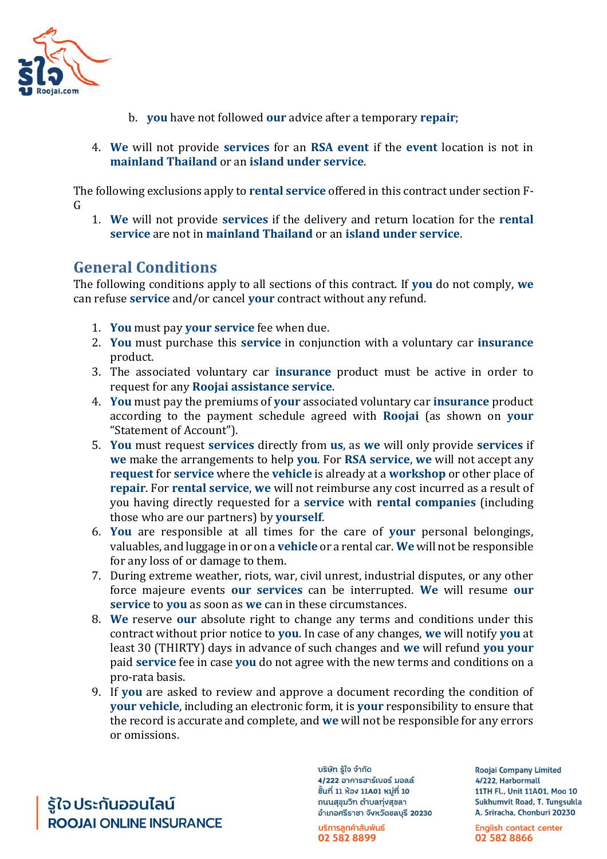

- b. **you** have not followed **our** advice after a temporary **repair**;
- 4. **We** will not provide **services** for an **RSA event** if the **event** location is not in **mainland Thailand** or an **island under service**.

The following exclusions apply to **rental service** offered in this contract under section F-G

1. **We** will not provide **services** if the delivery and return location for the **rental service** are not in **mainland Thailand** or an **island under service**.

# **General Conditions**

The following conditions apply to all sections of this contract. If **you** do not comply, **we**  can refuse **service** and/or cancel **your** contract without any refund.

- 1. **You** must pay **your service** fee when due.
- 2. **You** must purchase this **service** in conjunction with a voluntary car **insurance** product.
- 3. The associated voluntary car **insurance** product must be active in order to request for any **Roojai assistance service**.
- 4. **You** must pay the premiums of **your** associated voluntary car **insurance** product according to the payment schedule agreed with **Roojai** (as shown on **your**  "Statement of Account").
- 5. **You** must request **services** directly from **us**, as **we** will only provide **services** if **we** make the arrangements to help **you**. For **RSA service**, **we** will not accept any **request** for **service** where the **vehicle** is already at a **workshop** or other place of **repair**. For **rental service**, **we** will not reimburse any cost incurred as a result of you having directly requested for a **service** with **rental companies** (including those who are our partners) by **yourself**.
- 6. **You** are responsible at all times for the care of **your** personal belongings, valuables, and luggage in or on a **vehicle** or a rental car. **We** will not be responsible for any loss of or damage to them.
- 7. During extreme weather, riots, war, civil unrest, industrial disputes, or any other force majeure events **our services** can be interrupted. **We** will resume **our service** to **you** as soon as **we** can in these circumstances.
- 8. **We** reserve **our** absolute right to change any terms and conditions under this contract without prior notice to **you**. In case of any changes, **we** will notify **you** at least 30 (THIRTY) days in advance of such changes and **we** will refund **you your**  paid **service** fee in case **you** do not agree with the new terms and conditions on a pro-rata basis.
- 9. If **you** are asked to review and approve a document recording the condition of **your vehicle**, including an electronic form, it is **your** responsibility to ensure that the record is accurate and complete, and **we** will not be responsible for any errors or omissions.

รู้ใจ ประกันออนไลน์ **ROOJAI ONLINE INSURANCE**  บริษัท รู้ใจ จำกัด 4/222 อาคารฮาร์เบอร์ มอลล์ ชิ้นที่ 11 ห้อง 11A01 หมู่ที่ 10 ถนนสุขุมวิท ตำบลทุ่งสุขลา อำเภอศรีราชา จังหวัดชลบุรี 20230

บริการลูกค้าสัมพันธ์ 02 582 8899

**Roojai Company Limited** 4/222, Harbormall 11TH Fl., Unit 11A01, Moo 10 Sukhumvit Road, T. Tungsukla A. Sriracha, Chonburi 20230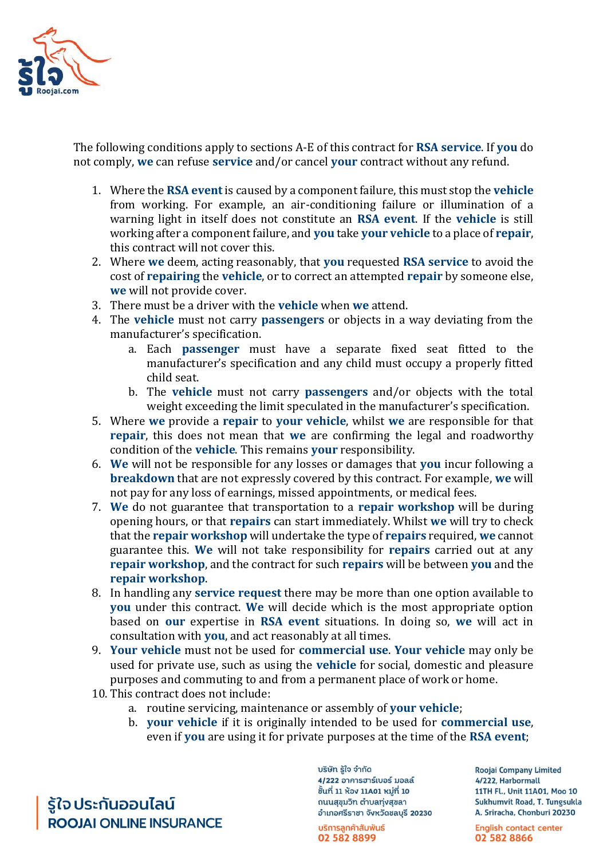

The following conditions apply to sections A-E of this contract for **RSA service**. If **you** do not comply, **we** can refuse **service** and/or cancel **your** contract without any refund.

- 1. Where the **RSA event** is caused by a component failure, this must stop the **vehicle**  from working. For example, an air-conditioning failure or illumination of a warning light in itself does not constitute an **RSA event**. If the **vehicle** is still working after a component failure, and **you** take **your vehicle** to a place of **repair**, this contract will not cover this.
- 2. Where **we** deem, acting reasonably, that **you** requested **RSA service** to avoid the cost of **repairing** the **vehicle**, or to correct an attempted **repair** by someone else, **we** will not provide cover.
- 3. There must be a driver with the **vehicle** when **we** attend.
- 4. The **vehicle** must not carry **passengers** or objects in a way deviating from the manufacturer's specification.
	- a. Each **passenger** must have a separate fixed seat fitted to the manufacturer's specification and any child must occupy a properly fitted child seat.
	- b. The **vehicle** must not carry **passengers** and/or objects with the total weight exceeding the limit speculated in the manufacturer's specification.
- 5. Where **we** provide a **repair** to **your vehicle**, whilst **we** are responsible for that **repair**, this does not mean that **we** are confirming the legal and roadworthy condition of the **vehicle**. This remains **your** responsibility.
- 6. **We** will not be responsible for any losses or damages that **you** incur following a **breakdown** that are not expressly covered by this contract. For example, **we** will not pay for any loss of earnings, missed appointments, or medical fees.
- 7. **We** do not guarantee that transportation to a **repair workshop** will be during opening hours, or that **repairs** can start immediately. Whilst **we** will try to check that the **repair workshop** will undertake the type of **repairs** required, **we** cannot guarantee this. **We** will not take responsibility for **repairs** carried out at any **repair workshop**, and the contract for such **repairs** will be between **you** and the **repair workshop**.
- 8. In handling any **service request** there may be more than one option available to **you** under this contract. **We** will decide which is the most appropriate option based on **our** expertise in **RSA event** situations. In doing so, **we** will act in consultation with **you**, and act reasonably at all times.
- 9. **Your vehicle** must not be used for **commercial use**. **Your vehicle** may only be used for private use, such as using the **vehicle** for social, domestic and pleasure purposes and commuting to and from a permanent place of work or home.
- 10. This contract does not include:
	- a. routine servicing, maintenance or assembly of **your vehicle**;
	- b. **your vehicle** if it is originally intended to be used for **commercial use**, even if **you** are using it for private purposes at the time of the **RSA event**;

รู้ใจ ประกันออนไลน์ **ROOJAI ONLINE INSURANCE**  บริษัท รู้ใจ จำกัด 4/222 อาคารฮาร์เบอร์ มอลล์ ชิ้นที่ 11 ห้อง 11A01 หม่ที่ 10 ถนนสุขุมวิท ตำบลทุ่งสุขลา อำเภอศรีราชา จังหวัดชลบุรี 20230

บริการลูกค้าสัมพันธ์ 02 582 8899

**Roojai Company Limited** 4/222, Harbormall 11TH Fl., Unit 11A01, Moo 10 Sukhumvit Road, T. Tungsukla A. Sriracha, Chonburi 20230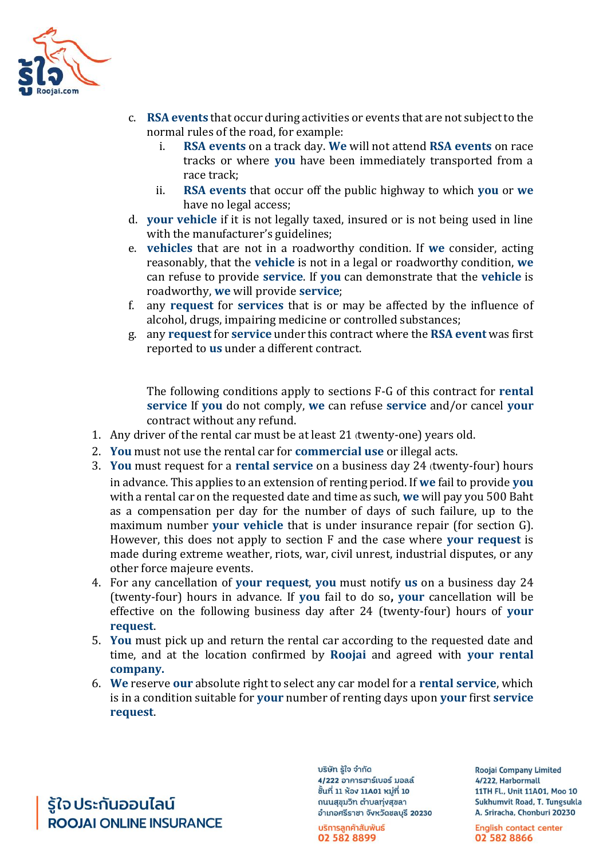

- c. **RSA events** that occur during activities or events that are not subject to the normal rules of the road, for example:
	- i. **RSA events** on a track day. **We** will not attend **RSA events** on race tracks or where **you** have been immediately transported from a race track;
	- ii. **RSA events** that occur off the public highway to which **you** or **we**  have no legal access;
- d. **your vehicle** if it is not legally taxed, insured or is not being used in line with the manufacturer's guidelines;
- e. **vehicles** that are not in a roadworthy condition. If **we** consider, acting reasonably, that the **vehicle** is not in a legal or roadworthy condition, **we**  can refuse to provide **service**. If **you** can demonstrate that the **vehicle** is roadworthy, **we** will provide **service**;
- f. any **request** for **services** that is or may be affected by the influence of alcohol, drugs, impairing medicine or controlled substances;
- g. any **request** for **service** under this contract where the **RSA event** was first reported to **us** under a different contract.

The following conditions apply to sections F-G of this contract for **rental service** If **you** do not comply, **we** can refuse **service** and/or cancel **your**  contract without any refund.

- 1. Any driver of the rental car must be at least 21 (twenty-one) years old.
- 2. **You** must not use the rental car for **commercial use** or illegal acts.
- 3. **You** must request for a **rental service** on a business day 24 (twenty-four) hours in advance. This applies to an extension of renting period. If **we** fail to provide **you**  with a rental car on the requested date and time as such, **we** will pay you 500 Baht as a compensation per day for the number of days of such failure, up to the maximum number **your vehicle** that is under insurance repair (for section G). However, this does not apply to section F and the case where **your request** is made during extreme weather, riots, war, civil unrest, industrial disputes, or any other force majeure events.
- 4. For any cancellation of **your request**, **you** must notify **us** on a business day 24 (twenty-four) hours in advance. If **you** fail to do so**, your** cancellation will be effective on the following business day after 24 (twenty-four) hours of **your request**.
- 5. **You** must pick up and return the rental car according to the requested date and time, and at the location confirmed by **Roojai** and agreed with **your rental company.**
- 6. **We** reserve **our** absolute right to select any car model for a **rental service**, which is in a condition suitable for **your** number of renting days upon **your** first **service request**.

รู้ใจ ประกันออนไลน์ **ROOJAI ONLINE INSURANCE**  บริษัท รู้ใจ จำกัด 4/222 อาคารฮาร์เบอร์ มอลล์ ชิ้นที่ 11 ห้อง 11A01 หมู่ที่ 10 ถนนสุขุมวิท ตำบลทุ่งสุขลา อำเภอศรีราชา จังหวัดชลบุรี 20230

บริการลูกค้าสัมพันธ์ 02 582 8899

**Roojai Company Limited** 4/222. Harbormall 11TH Fl., Unit 11A01, Moo 10 Sukhumvit Road, T. Tungsukla A. Sriracha, Chonburi 20230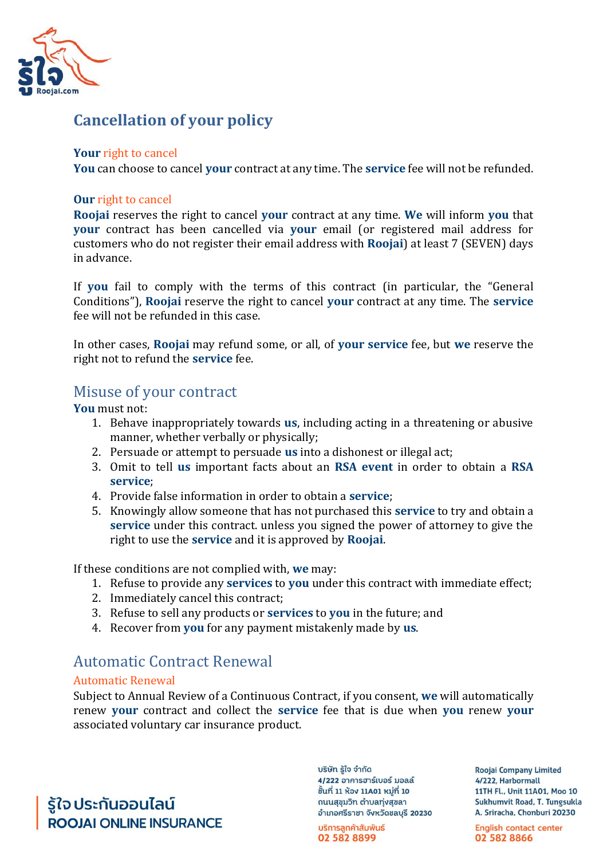

# **Cancellation of your policy**

#### **Your** right to cancel

**You** can choose to cancel **your** contract at any time. The **service** fee will not be refunded.

#### **Our** right to cancel

**Roojai** reserves the right to cancel **your** contract at any time. **We** will inform **you** that **your** contract has been cancelled via **your** email (or registered mail address for customers who do not register their email address with **Roojai**) at least 7 (SEVEN) days in advance.

If **you** fail to comply with the terms of this contract (in particular, the "General Conditions"), **Roojai** reserve the right to cancel **your** contract at any time. The **service**  fee will not be refunded in this case.

In other cases, **Roojai** may refund some, or all, of **your service** fee, but **we** reserve the right not to refund the **service** fee.

### Misuse of your contract

**You** must not:

- 1. Behave inappropriately towards **us**, including acting in a threatening or abusive manner, whether verbally or physically;
- 2. Persuade or attempt to persuade **us** into a dishonest or illegal act;
- 3. Omit to tell **us** important facts about an **RSA event** in order to obtain a **RSA service**;
- 4. Provide false information in order to obtain a **service**;
- 5. Knowingly allow someone that has not purchased this **service** to try and obtain a **service** under this contract. unless you signed the power of attorney to give the right to use the **service** and it is approved by **Roojai**.

If these conditions are not complied with, **we** may:

- 1. Refuse to provide any **services** to **you** under this contract with immediate effect;
- 2. Immediately cancel this contract;
- 3. Refuse to sell any products or **services** to **you** in the future; and
- 4. Recover from **you** for any payment mistakenly made by **us**.

### Automatic Contract Renewal

#### Automatic Renewal

Subject to Annual Review of a Continuous Contract, if you consent, **we** will automatically renew **your** contract and collect the **service** fee that is due when **you** renew **your**  associated voluntary car insurance product.

รู้ใจ ประกันออนไลน์ **ROOJAI ONLINE INSURANCE**  บริษัท รู้ใจ จำกัด 4/222 อาคารฮาร์เบอร์ มอลล์ ชิ้นที่ 11 ห้อง 11A01 หมู่ที่ 10 ถนนสุขุมวิท ตำบลทุ่งสุขลา อำเภอศรีราชา จังหวัดชลบุรี 20230

บริการลูกค้าสัมพันธ์ 02 582 8899

**Roojai Company Limited** 4/222, Harbormall 11TH Fl., Unit 11A01, Moo 10 Sukhumvit Road, T. Tungsukla A. Sriracha, Chonburi 20230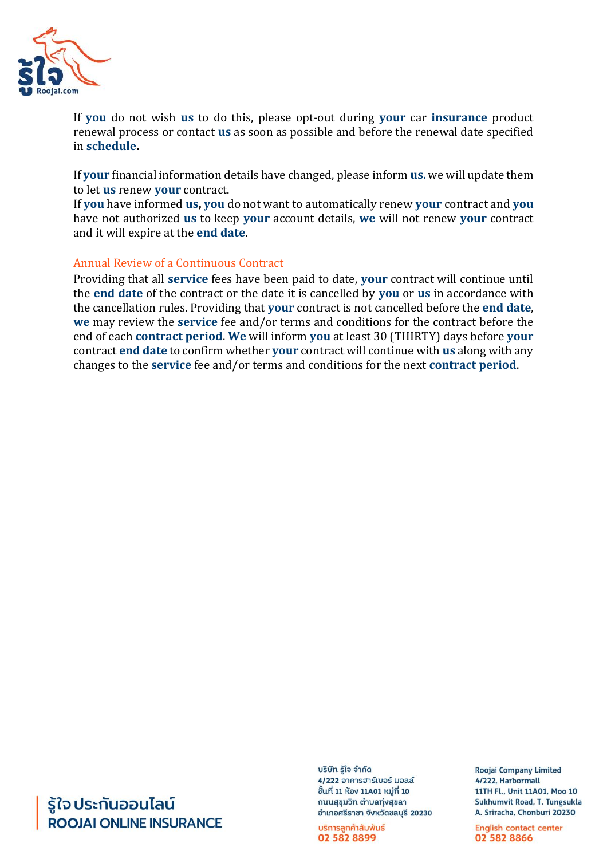

If **you** do not wish **us** to do this, please opt-out during **your** car **insurance** product renewal process or contact **us** as soon as possible and before the renewal date specified in **schedule.**

If **your** financial information details have changed, please inform **us.** we will update them to let **us** renew **your** contract.

If **you** have informed **us, you** do not want to automatically renew **your** contract and **you**  have not authorized **us** to keep **your** account details, **we** will not renew **your** contract and it will expire at the **end date**.

#### Annual Review of a Continuous Contract

Providing that all **service** fees have been paid to date, **your** contract will continue until the **end date** of the contract or the date it is cancelled by **you** or **us** in accordance with the cancellation rules. Providing that **your** contract is not cancelled before the **end date**, **we** may review the **service** fee and/or terms and conditions for the contract before the end of each **contract period**. **We** will inform **you** at least 30 (THIRTY) days before **your**  contract **end date** to confirm whether **your** contract will continue with **us** along with any changes to the **service** fee and/or terms and conditions for the next **contract period**.

# รู้ใจ ประกันออนไลน์ **ROOJAI ONLINE INSURANCE**

บริษัท รู้ใจ จำกัด 4/222 อาคารฮาร์เบอร์ มอลล์ ชิ้นที่ 11 ห้อง 11A01 หมู่ที่ 10 ถนนสุขุมวิท ตำบลทุ่งสุขลา อำเภอศรีราชา จังหวัดชลบุรี 20230

บริการลูกค้าสัมพันธ์ 02 582 8899

**Roojai Company Limited** 4/222. Harbormall 11TH Fl., Unit 11A01, Moo 10 Sukhumvit Road, T. Tungsukla A. Sriracha, Chonburi 20230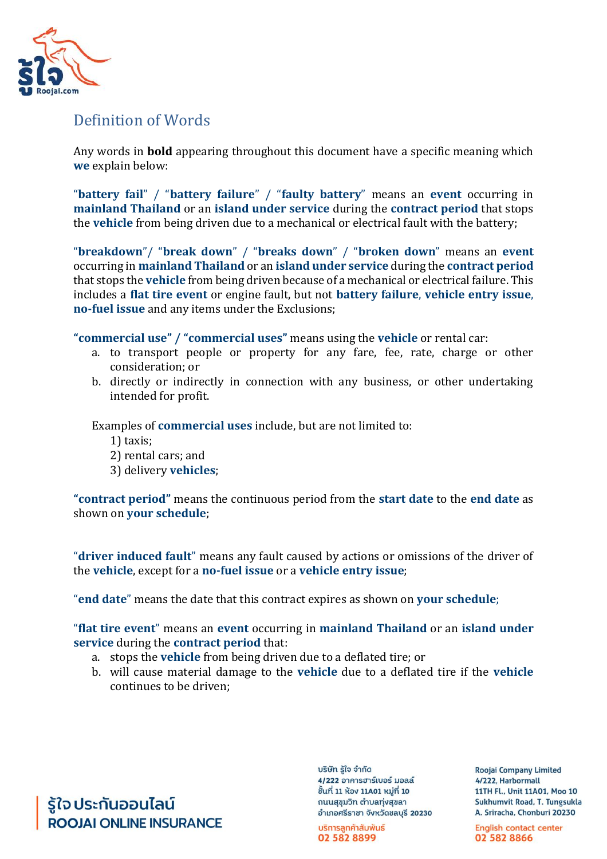

# Definition of Words

Any words in **bold** appearing throughout this document have a specific meaning which **we** explain below:

"**battery fail**" / "**battery failure**" / "**faulty battery**" means an **event** occurring in **mainland Thailand** or an **island under service** during the **contract period** that stops the **vehicle** from being driven due to a mechanical or electrical fault with the battery;

"**breakdown**"/ "**break down**" / "**breaks down**" / "**broken down**" means an **event**  occurring in **mainland Thailand** or an **island under service** during the **contract period**  that stops the **vehicle** from being driven because of a mechanical or electrical failure. This includes a **flat tire event** or engine fault, but not **battery failure**, **vehicle entry issue**, **no-fuel issue** and any items under the Exclusions;

**"commercial use" / "commercial uses"** means using the **vehicle** or rental car:

- a. to transport people or property for any fare, fee, rate, charge or other consideration; or
- b. directly or indirectly in connection with any business, or other undertaking intended for profit.

Examples of **commercial uses** include, but are not limited to:

- 1) taxis;
- 2) rental cars; and
- 3) delivery **vehicles**;

**"contract period"** means the continuous period from the **start date** to the **end date** as shown on **your schedule**;

"**driver induced fault**" means any fault caused by actions or omissions of the driver of the **vehicle**, except for a **no-fuel issue** or a **vehicle entry issue**;

"**end date**" means the date that this contract expires as shown on **your schedule**;

"**flat tire event**" means an **event** occurring in **mainland Thailand** or an **island under service** during the **contract period** that:

- a. stops the **vehicle** from being driven due to a deflated tire; or
- b. will cause material damage to the **vehicle** due to a deflated tire if the **vehicle**  continues to be driven;

รู้ใจ ประกันออนไลน์ **ROOJAI ONLINE INSURANCE**  บริษัท รู้ใจ จำกัด 4/222 อาคารฮาร์เบอร์ มอลล์ ชิ้นที่ 11 ห้อง 11A01 หมู่ที่ 10 ถนนสุขุมวิท ตำบลทุ่งสุขลา อำเภอศรีราชา จังหวัดชลบุรี 20230

บริการลูกค้าสัมพันธ์ 02 582 8899

**Roojai Company Limited** 4/222. Harbormall 11TH Fl., Unit 11A01, Moo 10 Sukhumvit Road, T. Tungsukla A. Sriracha, Chonburi 20230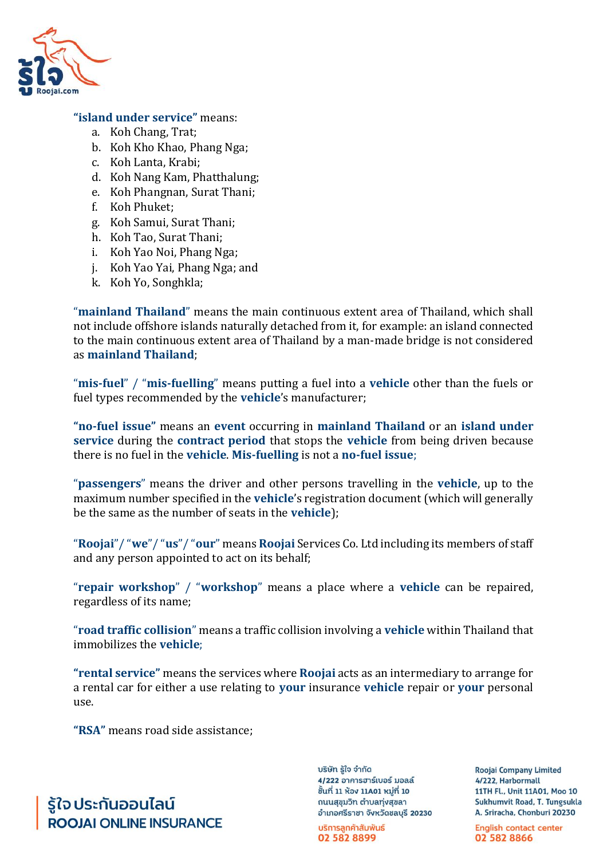

#### **"island under service"** means:

- a. Koh Chang, Trat;
- b. Koh Kho Khao, Phang Nga;
- c. Koh Lanta, Krabi;
- d. Koh Nang Kam, Phatthalung;
- e. Koh Phangnan, Surat Thani;
- f. Koh Phuket;
- g. Koh Samui, Surat Thani;
- h. Koh Tao, Surat Thani;
- i. Koh Yao Noi, Phang Nga;
- j. Koh Yao Yai, Phang Nga; and
- k. Koh Yo, Songhkla;

"**mainland Thailand**" means the main continuous extent area of Thailand, which shall not include offshore islands naturally detached from it, for example: an island connected to the main continuous extent area of Thailand by a man-made bridge is not considered as **mainland Thailand**;

"**mis-fuel**" / "**mis-fuelling**" means putting a fuel into a **vehicle** other than the fuels or fuel types recommended by the **vehicle**'s manufacturer;

**"no-fuel issue"** means an **event** occurring in **mainland Thailand** or an **island under service** during the **contract period** that stops the **vehicle** from being driven because there is no fuel in the **vehicle**. **Mis-fuelling** is not a **no-fuel issue**;

"**passengers**" means the driver and other persons travelling in the **vehicle**, up to the maximum number specified in the **vehicle**'s registration document (which will generally be the same as the number of seats in the **vehicle**);

"**Roojai**"/ "**we**"/ "**us**"/ "**our**" means **Roojai** Services Co. Ltd including its members of staff and any person appointed to act on its behalf;

"**repair workshop**" / "**workshop**" means a place where a **vehicle** can be repaired, regardless of its name;

"**road traffic collision**" means a traffic collision involving a **vehicle** within Thailand that immobilizes the **vehicle**;

**"rental service"** means the services where **Roojai** acts as an intermediary to arrange for a rental car for either a use relating to **your** insurance **vehicle** repair or **your** personal use.

**"RSA"** means road side assistance;

รู้ใจ ประกันออนไลน์ **ROOJAI ONLINE INSURANCE**  บริษัท รู้ใจ จำกัด 4/222 อาคารฮาร์เบอร์ มอลล์ ชิ้นที่ 11 ห้อง 11A01 หมู่ที่ 10 ถนนสุขุมวิท ตำบลทุ่งสุขลา อำเภอศรีราชา จังหวัดชลบุรี 20230

บริการลูกค้าสัมพันธ์ 02 582 8899

**Roojai Company Limited** 4/222. Harbormall 11TH Fl., Unit 11A01, Moo 10 Sukhumvit Road, T. Tungsukla A. Sriracha, Chonburi 20230